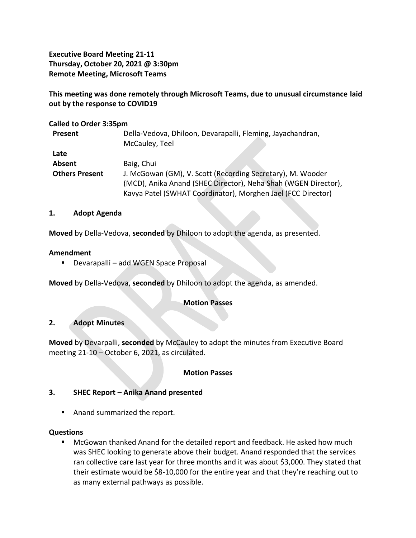**Executive Board Meeting 21-11 Thursday, October 20, 2021 @ 3:30pm Remote Meeting, Microsoft Teams**

**This meeting was done remotely through Microsoft Teams, due to unusual circumstance laid out by the response to COVID19**

## **Called to Order 3:35pm**

| Present               | Della-Vedova, Dhiloon, Devarapalli, Fleming, Jayachandran,     |
|-----------------------|----------------------------------------------------------------|
|                       | McCauley, Teel                                                 |
| Late                  |                                                                |
| Absent                | Baig, Chui                                                     |
| <b>Others Present</b> | J. McGowan (GM), V. Scott (Recording Secretary), M. Wooder     |
|                       | (MCD), Anika Anand (SHEC Director), Neha Shah (WGEN Director), |
|                       | Kavya Patel (SWHAT Coordinator), Morghen Jael (FCC Director)   |

#### **1. Adopt Agenda**

**Moved** by Della-Vedova, **seconded** by Dhiloon to adopt the agenda, as presented.

#### **Amendment**

■ Devarapalli – add WGEN Space Proposal

**Moved** by Della-Vedova, **seconded** by Dhiloon to adopt the agenda, as amended.

## **Motion Passes**

## **2. Adopt Minutes**

**Moved** by Devarpalli, **seconded** by McCauley to adopt the minutes from Executive Board meeting 21-10 – October 6, 2021, as circulated.

## **Motion Passes**

## **3. SHEC Report – Anika Anand presented**

■ Anand summarized the report.

## **Questions**

■ McGowan thanked Anand for the detailed report and feedback. He asked how much was SHEC looking to generate above their budget. Anand responded that the services ran collective care last year for three months and it was about \$3,000. They stated that their estimate would be \$8-10,000 for the entire year and that they're reaching out to as many external pathways as possible.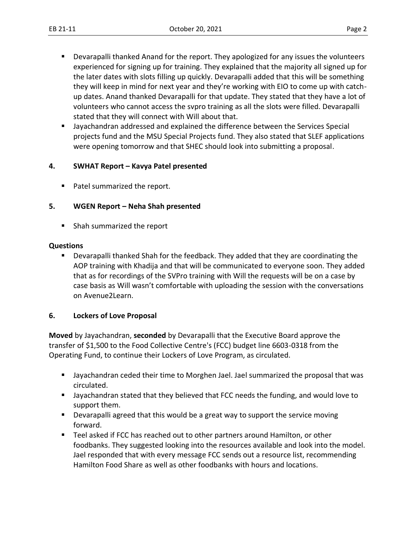- Devarapalli thanked Anand for the report. They apologized for any issues the volunteers experienced for signing up for training. They explained that the majority all signed up for the later dates with slots filling up quickly. Devarapalli added that this will be something they will keep in mind for next year and they're working with EIO to come up with catchup dates. Anand thanked Devarapalli for that update. They stated that they have a lot of volunteers who cannot access the svpro training as all the slots were filled. Devarapalli stated that they will connect with Will about that.
- Jayachandran addressed and explained the difference between the Services Special projects fund and the MSU Special Projects fund. They also stated that SLEF applications were opening tomorrow and that SHEC should look into submitting a proposal.

# **4. SWHAT Report – Kavya Patel presented**

Patel summarized the report.

## **5. WGEN Report – Neha Shah presented**

■ Shah summarized the report

## **Questions**

■ Devarapalli thanked Shah for the feedback. They added that they are coordinating the AOP training with Khadija and that will be communicated to everyone soon. They added that as for recordings of the SVPro training with Will the requests will be on a case by case basis as Will wasn't comfortable with uploading the session with the conversations on Avenue2Learn.

# **6. Lockers of Love Proposal**

**Moved** by Jayachandran, **seconded** by Devarapalli that the Executive Board approve the transfer of \$1,500 to the Food Collective Centre's (FCC) budget line 6603-0318 from the Operating Fund, to continue their Lockers of Love Program, as circulated.

- Jayachandran ceded their time to Morghen Jael. Jael summarized the proposal that was circulated.
- Jayachandran stated that they believed that FCC needs the funding, and would love to support them.
- **•** Devarapalli agreed that this would be a great way to support the service moving forward.
- Teel asked if FCC has reached out to other partners around Hamilton, or other foodbanks. They suggested looking into the resources available and look into the model. Jael responded that with every message FCC sends out a resource list, recommending Hamilton Food Share as well as other foodbanks with hours and locations.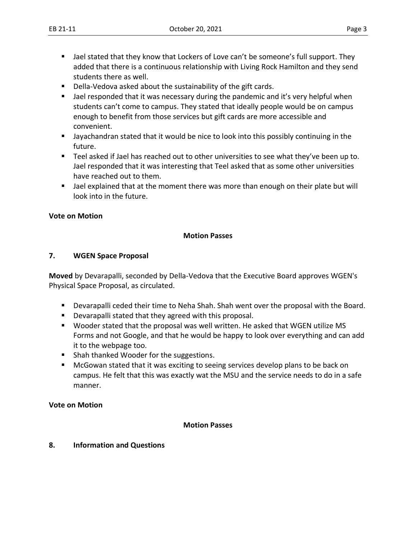- Jael stated that they know that Lockers of Love can't be someone's full support. They added that there is a continuous relationship with Living Rock Hamilton and they send students there as well.
- Della-Vedova asked about the sustainability of the gift cards.
- Jael responded that it was necessary during the pandemic and it's very helpful when students can't come to campus. They stated that ideally people would be on campus enough to benefit from those services but gift cards are more accessible and convenient.
- Jayachandran stated that it would be nice to look into this possibly continuing in the future.
- Teel asked if Jael has reached out to other universities to see what they've been up to. Jael responded that it was interesting that Teel asked that as some other universities have reached out to them.
- Jael explained that at the moment there was more than enough on their plate but will look into in the future.

## **Vote on Motion**

## **Motion Passes**

## **7. WGEN Space Proposal**

**Moved** by Devarapalli, seconded by Della-Vedova that the Executive Board approves WGEN's Physical Space Proposal, as circulated.

- Devarapalli ceded their time to Neha Shah. Shah went over the proposal with the Board.
- Devarapalli stated that they agreed with this proposal.
- Wooder stated that the proposal was well written. He asked that WGEN utilize MS Forms and not Google, and that he would be happy to look over everything and can add it to the webpage too.
- Shah thanked Wooder for the suggestions.
- McGowan stated that it was exciting to seeing services develop plans to be back on campus. He felt that this was exactly wat the MSU and the service needs to do in a safe manner.

#### **Vote on Motion**

## **Motion Passes**

**8. Information and Questions**